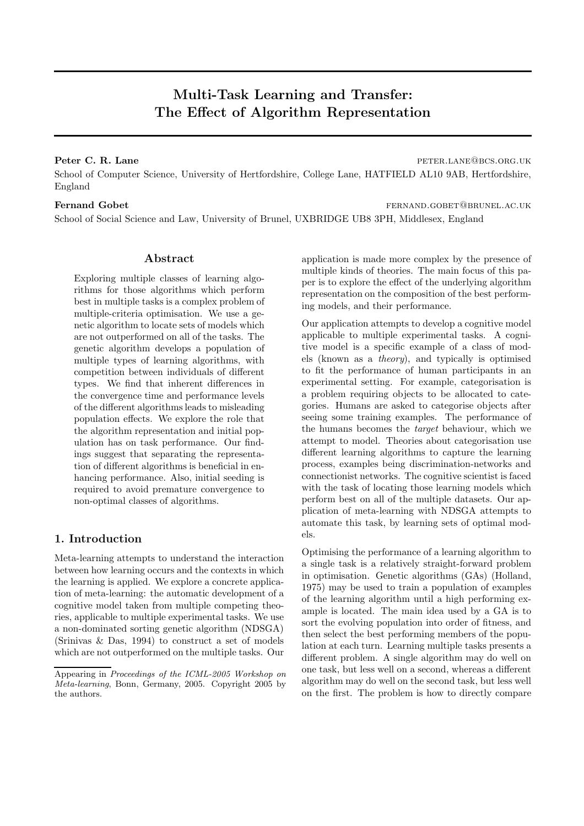# Multi-Task Learning and Transfer: The Effect of Algorithm Representation

## Peter C. R. Lane peter. **Peter.** C. R. Lane

School of Computer Science, University of Hertfordshire, College Lane, HATFIELD AL10 9AB, Hertfordshire, England

Fernand Gobet **for a state feature fernand Gobet** fernand Gobet **for a state of the state of the state fernand** Gobert  $\alpha$ School of Social Science and Law, University of Brunel, UXBRIDGE UB8 3PH, Middlesex, England

# Abstract

Exploring multiple classes of learning algorithms for those algorithms which perform best in multiple tasks is a complex problem of multiple-criteria optimisation. We use a genetic algorithm to locate sets of models which are not outperformed on all of the tasks. The genetic algorithm develops a population of multiple types of learning algorithms, with competition between individuals of different types. We find that inherent differences in the convergence time and performance levels of the different algorithms leads to misleading population effects. We explore the role that the algorithm representation and initial population has on task performance. Our findings suggest that separating the representation of different algorithms is beneficial in enhancing performance. Also, initial seeding is required to avoid premature convergence to non-optimal classes of algorithms.

# 1. Introduction

Meta-learning attempts to understand the interaction between how learning occurs and the contexts in which the learning is applied. We explore a concrete application of meta-learning: the automatic development of a cognitive model taken from multiple competing theories, applicable to multiple experimental tasks. We use a non-dominated sorting genetic algorithm (NDSGA) (Srinivas & Das, 1994) to construct a set of models which are not outperformed on the multiple tasks. Our application is made more complex by the presence of multiple kinds of theories. The main focus of this paper is to explore the effect of the underlying algorithm representation on the composition of the best performing models, and their performance.

Our application attempts to develop a cognitive model applicable to multiple experimental tasks. A cognitive model is a specific example of a class of models (known as a theory), and typically is optimised to fit the performance of human participants in an experimental setting. For example, categorisation is a problem requiring objects to be allocated to categories. Humans are asked to categorise objects after seeing some training examples. The performance of the humans becomes the target behaviour, which we attempt to model. Theories about categorisation use different learning algorithms to capture the learning process, examples being discrimination-networks and connectionist networks. The cognitive scientist is faced with the task of locating those learning models which perform best on all of the multiple datasets. Our application of meta-learning with NDSGA attempts to automate this task, by learning sets of optimal models.

Optimising the performance of a learning algorithm to a single task is a relatively straight-forward problem in optimisation. Genetic algorithms (GAs) (Holland, 1975) may be used to train a population of examples of the learning algorithm until a high performing example is located. The main idea used by a GA is to sort the evolving population into order of fitness, and then select the best performing members of the population at each turn. Learning multiple tasks presents a different problem. A single algorithm may do well on one task, but less well on a second, whereas a different algorithm may do well on the second task, but less well on the first. The problem is how to directly compare

Appearing in Proceedings of the ICML-2005 Workshop on Meta-learning, Bonn, Germany, 2005. Copyright 2005 by the authors.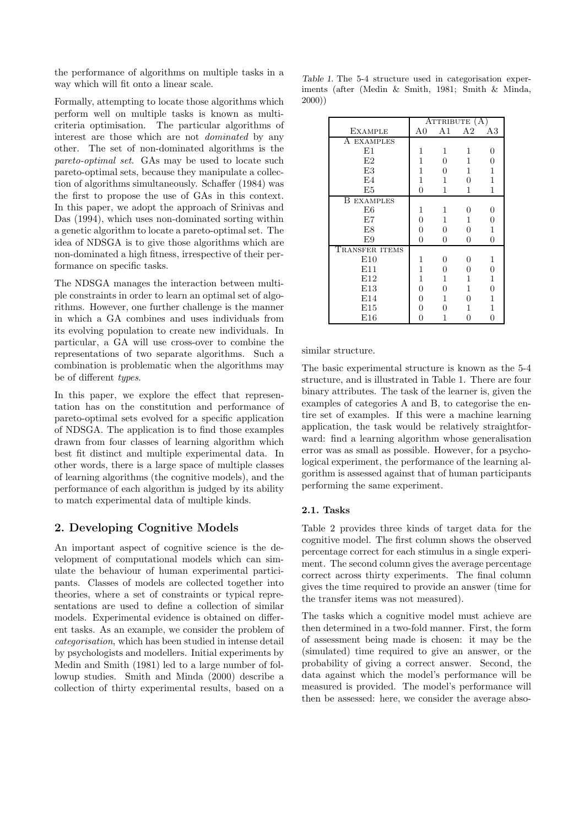the performance of algorithms on multiple tasks in a way which will fit onto a linear scale.

Formally, attempting to locate those algorithms which perform well on multiple tasks is known as multicriteria optimisation. The particular algorithms of interest are those which are not dominated by any other. The set of non-dominated algorithms is the pareto-optimal set. GAs may be used to locate such pareto-optimal sets, because they manipulate a collection of algorithms simultaneously. Schaffer (1984) was the first to propose the use of GAs in this context. In this paper, we adopt the approach of Srinivas and Das (1994), which uses non-dominated sorting within a genetic algorithm to locate a pareto-optimal set. The idea of NDSGA is to give those algorithms which are non-dominated a high fitness, irrespective of their performance on specific tasks.

The NDSGA manages the interaction between multiple constraints in order to learn an optimal set of algorithms. However, one further challenge is the manner in which a GA combines and uses individuals from its evolving population to create new individuals. In particular, a GA will use cross-over to combine the representations of two separate algorithms. Such a combination is problematic when the algorithms may be of different types.

In this paper, we explore the effect that representation has on the constitution and performance of pareto-optimal sets evolved for a specific application of NDSGA. The application is to find those examples drawn from four classes of learning algorithm which best fit distinct and multiple experimental data. In other words, there is a large space of multiple classes of learning algorithms (the cognitive models), and the performance of each algorithm is judged by its ability to match experimental data of multiple kinds.

# 2. Developing Cognitive Models

An important aspect of cognitive science is the development of computational models which can simulate the behaviour of human experimental participants. Classes of models are collected together into theories, where a set of constraints or typical representations are used to define a collection of similar models. Experimental evidence is obtained on different tasks. As an example, we consider the problem of categorisation, which has been studied in intense detail by psychologists and modellers. Initial experiments by Medin and Smith (1981) led to a large number of followup studies. Smith and Minda (2000) describe a collection of thirty experimental results, based on a

Table 1. The 5-4 structure used in categorisation experiments (after (Medin & Smith, 1981; Smith & Minda, 2000))

|                      | ATTRIBUTE (A)  |          |          |                |  |  |
|----------------------|----------------|----------|----------|----------------|--|--|
| <b>EXAMPLE</b>       | A0             | A1       | A2       | A3             |  |  |
| A EXAMPLES           |                |          |          |                |  |  |
| E1                   | 1              | 1        | 1        | 0              |  |  |
| E2                   | 1              | $\theta$ | 1        | 0              |  |  |
| E.3                  | 1              | 0        | 1        | 1              |  |  |
| E4                   | 1              | 1        | 0        | 1              |  |  |
| E5                   | $\Omega$       | 1        | 1        | 1              |  |  |
| В<br><b>EXAMPLES</b> |                |          |          |                |  |  |
| E6                   | 1              | 1        | 0        | 0              |  |  |
| E7                   | 0              | 1        | 1        | 0              |  |  |
| E8                   | 0              | 0        | $\Omega$ | 1              |  |  |
| E9                   | $\overline{0}$ | 0        | 0        | $\overline{0}$ |  |  |
| TRANSFER ITEMS       |                |          |          |                |  |  |
| E10                  | 1              | 0        | 0        | $\mathbf{1}$   |  |  |
| E11                  | 1              | 0        | $\Omega$ | $\overline{0}$ |  |  |
| E12                  | 1              | 1        | 1        | 1              |  |  |
| E13                  | 0              | 0        | 1        | 0              |  |  |
| E14                  | 0              | 1        | 0        | 1              |  |  |
| E15                  | O              | ∩        | 1        | 1              |  |  |
| E16                  | N              | 1        | ∩        | 0              |  |  |

similar structure.

The basic experimental structure is known as the 5-4 structure, and is illustrated in Table 1. There are four binary attributes. The task of the learner is, given the examples of categories A and B, to categorise the entire set of examples. If this were a machine learning application, the task would be relatively straightforward: find a learning algorithm whose generalisation error was as small as possible. However, for a psychological experiment, the performance of the learning algorithm is assessed against that of human participants performing the same experiment.

## 2.1. Tasks

Table 2 provides three kinds of target data for the cognitive model. The first column shows the observed percentage correct for each stimulus in a single experiment. The second column gives the average percentage correct across thirty experiments. The final column gives the time required to provide an answer (time for the transfer items was not measured).

The tasks which a cognitive model must achieve are then determined in a two-fold manner. First, the form of assessment being made is chosen: it may be the (simulated) time required to give an answer, or the probability of giving a correct answer. Second, the data against which the model's performance will be measured is provided. The model's performance will then be assessed: here, we consider the average abso-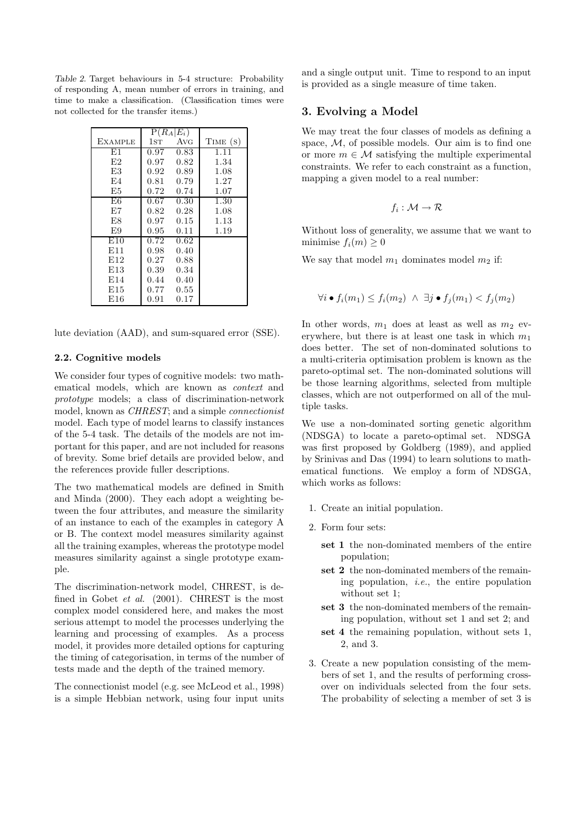Table 2. Target behaviours in 5-4 structure: Probability of responding A, mean number of errors in training, and time to make a classification. (Classification times were not collected for the transfer items.)

|                |      | $P(R_A E_i)$ |          |
|----------------|------|--------------|----------|
| <b>EXAMPLE</b> | 1st  | Avg          | TIME (S) |
| E1             | 0.97 | 0.83         | 1.11     |
| E2             | 0.97 | 0.82         | 1.34     |
| E.3            | 0.92 | 0.89         | 1.08     |
| E4             | 0.81 | 0.79         | 1.27     |
| E5             | 0.72 | 0.74         | 1.07     |
| E6             | 0.67 | 0.30         | 1.30     |
| E7             | 0.82 | 0.28         | 1.08     |
| E8             | 0.97 | 0.15         | 1.13     |
| E9             | 0.95 | 0.11         | 1.19     |
| E10            | 0.72 | 0.62         |          |
| E11            | 0.98 | 0.40         |          |
| E12            | 0.27 | 0.88         |          |
| E13            | 0.39 | 0.34         |          |
| E14            | 0.44 | 0.40         |          |
| E15            | 0.77 | 0.55         |          |
| E16            | 0.91 | 0.17         |          |

lute deviation (AAD), and sum-squared error (SSE).

### 2.2. Cognitive models

We consider four types of cognitive models: two mathematical models, which are known as context and prototype models; a class of discrimination-network model, known as CHREST; and a simple connectionist model. Each type of model learns to classify instances of the 5-4 task. The details of the models are not important for this paper, and are not included for reasons of brevity. Some brief details are provided below, and the references provide fuller descriptions.

The two mathematical models are defined in Smith and Minda (2000). They each adopt a weighting between the four attributes, and measure the similarity of an instance to each of the examples in category A or B. The context model measures similarity against all the training examples, whereas the prototype model measures similarity against a single prototype example.

The discrimination-network model, CHREST, is defined in Gobet et al. (2001). CHREST is the most complex model considered here, and makes the most serious attempt to model the processes underlying the learning and processing of examples. As a process model, it provides more detailed options for capturing the timing of categorisation, in terms of the number of tests made and the depth of the trained memory.

The connectionist model (e.g. see McLeod et al., 1998) is a simple Hebbian network, using four input units and a single output unit. Time to respond to an input is provided as a single measure of time taken.

## 3. Evolving a Model

We may treat the four classes of models as defining a space, M, of possible models. Our aim is to find one or more  $m \in \mathcal{M}$  satisfying the multiple experimental constraints. We refer to each constraint as a function, mapping a given model to a real number:

$$
f_i:\mathcal{M}\to\mathcal{R}
$$

Without loss of generality, we assume that we want to minimise  $f_i(m) \geq 0$ 

We say that model  $m_1$  dominates model  $m_2$  if:

$$
\forall i \bullet f_i(m_1) \le f_i(m_2) \ \land \ \exists j \bullet f_j(m_1) < f_j(m_2)
$$

In other words,  $m_1$  does at least as well as  $m_2$  everywhere, but there is at least one task in which  $m_1$ does better. The set of non-dominated solutions to a multi-criteria optimisation problem is known as the pareto-optimal set. The non-dominated solutions will be those learning algorithms, selected from multiple classes, which are not outperformed on all of the multiple tasks.

We use a non-dominated sorting genetic algorithm (NDSGA) to locate a pareto-optimal set. NDSGA was first proposed by Goldberg (1989), and applied by Srinivas and Das (1994) to learn solutions to mathematical functions. We employ a form of NDSGA, which works as follows:

- 1. Create an initial population.
- 2. Form four sets:
	- set 1 the non-dominated members of the entire population;
	- set 2 the non-dominated members of the remaining population, *i.e.*, the entire population without set 1;
	- set 3 the non-dominated members of the remaining population, without set 1 and set 2; and
	- set 4 the remaining population, without sets 1, 2, and 3.
- 3. Create a new population consisting of the members of set 1, and the results of performing crossover on individuals selected from the four sets. The probability of selecting a member of set 3 is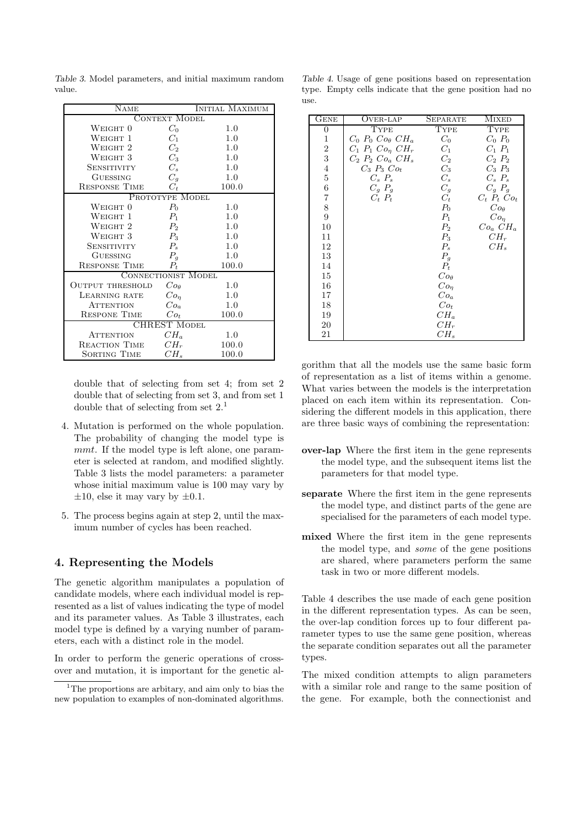NAME INITIAL MAXIMUM CONTEXT MODEL WEIGHT  $0$   $C_0$   $1.0$ <br>WEIGHT  $1$   $C_1$   $1.0$ WEIGHT 1 WEIGHT 2  $C_2$  1.0<br>WEIGHT 3  $C_3$  1.0 WEIGHT  $3$   $C_3$  1.0 SENSITIVITY  $C_s$  1.0<br>
GUESSING  $C_g$  1.0 GUESSING  $C_g$  1.0<br>SPONSE TIME  $C_t$  100.0 RESPONSE TIME  $C_t$ Prototype Model  $P_0$ WEIGHT  $0$   $P_0$   $1.0$ WEIGHT 1  $P_1$  1.0<br>WEIGHT 2  $P_2$  1.0 WEIGHT  $2$   $P_2$   $1.0$ WEIGHT  $3$   $P_3$   $1.0$ <br>SENSITIVITY  $P_2$   $1.0$ **SENSITIVITY** GUESSING  $P_g$  1.0<br>
SPONSE TIME  $P_t$  100. RESPONSE TIME  $P_t$  100.0 CONNECTIONIST MODEL<br>RESHOLD  $Co_{\theta}$ OUTPUT THRESHOLD  $Co_{\theta}$  1.0<br>LEARNING RATE  $Co_{\eta}$  1.0  $\begin{tabular}{ll} LEARNING RATE & $Co_{\eta}$ \\ ATTENTION & $Co_a$ \end{tabular}$ ATTENTION  $Co_a$  1.0<br>ESPONE TIME  $Co_t$  100.0 RESPONE TIME CHREST Model  $\text{A}}$ Tention  $CH_a$  1.0<br>EACTION TIME  $CH_r$  100.0 REACTION TIME SORTING TIME  $CH<sub>s</sub>$  100.0

Table 3. Model parameters, and initial maximum random value.

double that of selecting from set 4; from set 2 double that of selecting from set 3, and from set 1 double that of selecting from set  $2<sup>1</sup>$ .

- 4. Mutation is performed on the whole population. The probability of changing the model type is mmt. If the model type is left alone, one parameter is selected at random, and modified slightly. Table 3 lists the model parameters: a parameter whose initial maximum value is 100 may vary by  $\pm 10$ , else it may vary by  $\pm 0.1$ .
- 5. The process begins again at step 2, until the maximum number of cycles has been reached.

# 4. Representing the Models

The genetic algorithm manipulates a population of candidate models, where each individual model is represented as a list of values indicating the type of model and its parameter values. As Table 3 illustrates, each model type is defined by a varying number of parameters, each with a distinct role in the model.

In order to perform the generic operations of crossover and mutation, it is important for the genetic al-

|      |  |  |  | Table 4. Usage of gene positions based on representation |  |
|------|--|--|--|----------------------------------------------------------|--|
|      |  |  |  | type. Empty cells indicate that the gene position had no |  |
| use. |  |  |  |                                                          |  |

| GENE                    | OVER-LAP                         | <b>SEPARATE</b> | <b>MIXED</b>       |
|-------------------------|----------------------------------|-----------------|--------------------|
| $\boldsymbol{0}$        | TYPE                             | TYPE            | TYPE               |
| $\mathbf{1}$            | $C_0$ $P_0$ $Co_{\theta}$ $CH_a$ | $C_0$           | $C_0$ $P_0$        |
| $\boldsymbol{2}$        | $C_1$ $P_1$ $Co_{\eta}$ $CH_r$   | $C_1$           | $C_1$ $P_1$        |
| 3                       | $C_2$ $P_2$ $Co_a$ $CH_s$        | $C_2$           | $C_2$ $P_2$        |
| $\overline{\mathbf{4}}$ | $C_3$ $P_3$ $Co_t$               | $C_3$           | $C_3$ $P_3$        |
| $\bf 5$                 | $C_s$ $P_s$                      | $C_{s}$         | $C_s$ $P_s$        |
| $\;6\;$                 | $C_q$ $P_q$                      | $C_q$           | $C_g$ $P_g$        |
| $\overline{7}$          | $C_t$ $P_t$                      | $C_t$           | $C_t$ $P_t$ $Co_t$ |
| 8                       |                                  | $P_0$           | $Co_{\theta}$      |
| 9                       |                                  | $P_1$           | Co <sub>n</sub>    |
| 10                      |                                  | $P_2$           | $Co_a$ $CH_a$      |
| 11                      |                                  | $P_3$           | $CH_r$             |
| 12                      |                                  | $P_{s}$         | $CH_s$             |
| 13                      |                                  | $P_g$           |                    |
| 14                      |                                  | $P_t$           |                    |
| 15                      |                                  | $Co_{\theta}$   |                    |
| 16                      |                                  | $Co_n$          |                    |
| 17                      |                                  | $Co_a$          |                    |
| 18                      |                                  | $Co_t$          |                    |
| 19                      |                                  | $CH_a$          |                    |
| 20                      |                                  | $CH_r$          |                    |
| 21                      |                                  | $CH_s$          |                    |

gorithm that all the models use the same basic form of representation as a list of items within a genome. What varies between the models is the interpretation placed on each item within its representation. Considering the different models in this application, there are three basic ways of combining the representation:

- over-lap Where the first item in the gene represents the model type, and the subsequent items list the parameters for that model type.
- separate Where the first item in the gene represents the model type, and distinct parts of the gene are specialised for the parameters of each model type.
- mixed Where the first item in the gene represents the model type, and some of the gene positions are shared, where parameters perform the same task in two or more different models.

Table 4 describes the use made of each gene position in the different representation types. As can be seen, the over-lap condition forces up to four different parameter types to use the same gene position, whereas the separate condition separates out all the parameter types.

The mixed condition attempts to align parameters with a similar role and range to the same position of the gene. For example, both the connectionist and

<sup>&</sup>lt;sup>1</sup>The proportions are arbitary, and aim only to bias the new population to examples of non-dominated algorithms.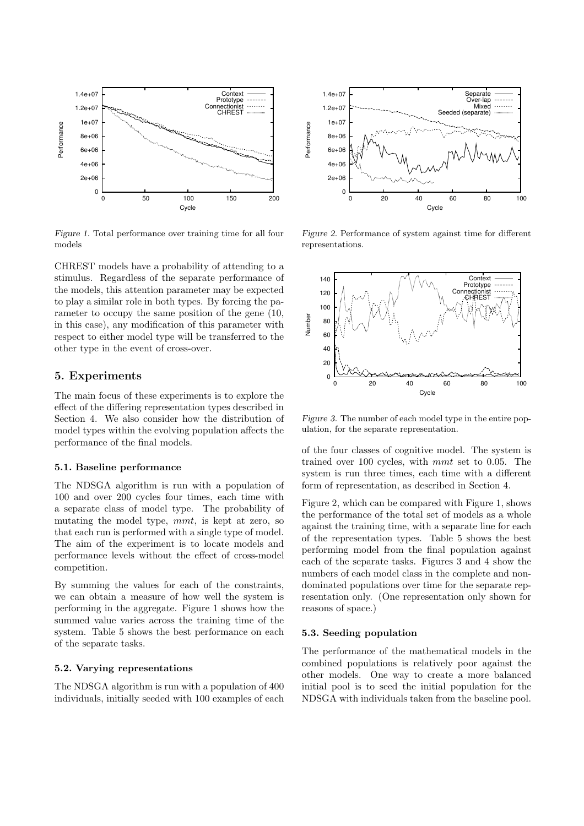

Figure 1. Total performance over training time for all four models

CHREST models have a probability of attending to a stimulus. Regardless of the separate performance of the models, this attention parameter may be expected to play a similar role in both types. By forcing the parameter to occupy the same position of the gene (10, in this case), any modification of this parameter with respect to either model type will be transferred to the other type in the event of cross-over.

## 5. Experiments

The main focus of these experiments is to explore the effect of the differing representation types described in Section 4. We also consider how the distribution of model types within the evolving population affects the performance of the final models.

#### 5.1. Baseline performance

The NDSGA algorithm is run with a population of 100 and over 200 cycles four times, each time with a separate class of model type. The probability of mutating the model type, mmt, is kept at zero, so that each run is performed with a single type of model. The aim of the experiment is to locate models and performance levels without the effect of cross-model competition.

By summing the values for each of the constraints, we can obtain a measure of how well the system is performing in the aggregate. Figure 1 shows how the summed value varies across the training time of the system. Table 5 shows the best performance on each of the separate tasks.

#### 5.2. Varying representations

The NDSGA algorithm is run with a population of 400 individuals, initially seeded with 100 examples of each



Figure 2. Performance of system against time for different representations.



Figure 3. The number of each model type in the entire population, for the separate representation.

of the four classes of cognitive model. The system is trained over 100 cycles, with mmt set to 0.05. The system is run three times, each time with a different form of representation, as described in Section 4.

Figure 2, which can be compared with Figure 1, shows the performance of the total set of models as a whole against the training time, with a separate line for each of the representation types. Table 5 shows the best performing model from the final population against each of the separate tasks. Figures 3 and 4 show the numbers of each model class in the complete and nondominated populations over time for the separate representation only. (One representation only shown for reasons of space.)

#### 5.3. Seeding population

The performance of the mathematical models in the combined populations is relatively poor against the other models. One way to create a more balanced initial pool is to seed the initial population for the NDSGA with individuals taken from the baseline pool.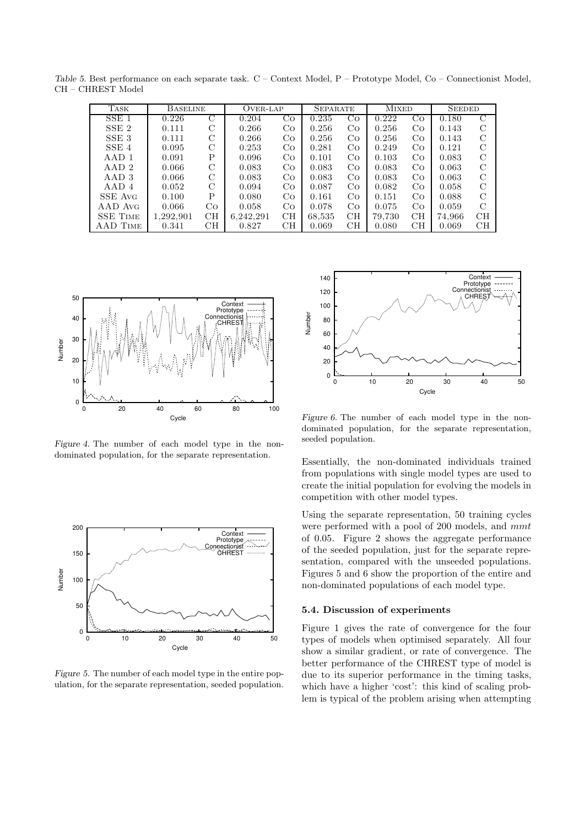| TASK             | <b>BASELINE</b> |               | OVER-LAP  |             | <b>SEPARATE</b> |    | <b>MIXED</b> |    | <b>SEEDED</b> |               |
|------------------|-----------------|---------------|-----------|-------------|-----------------|----|--------------|----|---------------|---------------|
| SSE <sub>1</sub> | 0.226           | $\mathcal{C}$ | 0.204     | Co          | 0.235           | Co | 0.222        | Co | 0.180         | C             |
| SSE <sub>2</sub> | 0.111           | C             | 0.266     | $_{\rm CO}$ | 0.256           | Co | 0.256        | Co | 0.143         | C             |
| SSE <sub>3</sub> | 0.111           | C             | 0.266     | Co          | 0.256           | Co | 0.256        | Co | 0.143         | $\mathcal{C}$ |
| SSE 4            | 0.095           | C             | 0.253     | Co          | 0.281           | Co | 0.249        | Co | 0.121         | C             |
| AAD1             | 0.091           | Ρ             | 0.096     | Co          | 0.101           | Co | 0.103        | Co | 0.083         | C             |
| AAD2             | 0.066           | C             | 0.083     | Co          | 0.083           | Co | 0.083        | Co | 0.063         | $\mathcal{C}$ |
| AAD 3            | 0.066           | $\mathcal{C}$ | 0.083     | Co          | 0.083           | Co | 0.083        | Co | 0.063         | $\mathcal{C}$ |
| AAD4             | 0.052           | $\mathcal{C}$ | 0.094     | Co          | 0.087           | Co | 0.082        | Co | 0.058         | $\mathcal{C}$ |
| SSE Avg          | 0.100           | P             | 0.080     | Co          | 0.161           | Co | 0.151        | Co | 0.088         | $\mathcal{C}$ |
| AAD Avg          | 0.066           | Co.           | 0.058     | Co.         | 0.078           | Co | 0.075        | Co | 0.059         | $\mathcal{C}$ |
| <b>SSE TIME</b>  | 1.292.901       | CH            | 6.242.291 | CH          | 68,535          | CH | 79,730       | CH | 74.966        | CH            |
| AAD TIME         | 0.341           | CН            | 0.827     | CH          | 0.069           | CН | 0.080        | CН | 0.069         | CН            |

Table 5. Best performance on each separate task. C – Context Model, P – Prototype Model, Co – Connectionist Model, CH – CHREST Model



Figure 4. The number of each model type in the nondominated population, for the separate representation.



Figure 5. The number of each model type in the entire population, for the separate representation, seeded population.



Figure 6. The number of each model type in the nondominated population, for the separate representation, seeded population.

Essentially, the non-dominated individuals trained from populations with single model types are used to create the initial population for evolving the models in competition with other model types.

Using the separate representation, 50 training cycles were performed with a pool of 200 models, and mmt of 0.05. Figure 2 shows the aggregate performance of the seeded population, just for the separate representation, compared with the unseeded populations. Figures 5 and 6 show the proportion of the entire and non-dominated populations of each model type.

## 5.4. Discussion of experiments

Figure 1 gives the rate of convergence for the four types of models when optimised separately. All four show a similar gradient, or rate of convergence. The better performance of the CHREST type of model is due to its superior performance in the timing tasks, which have a higher 'cost': this kind of scaling problem is typical of the problem arising when attempting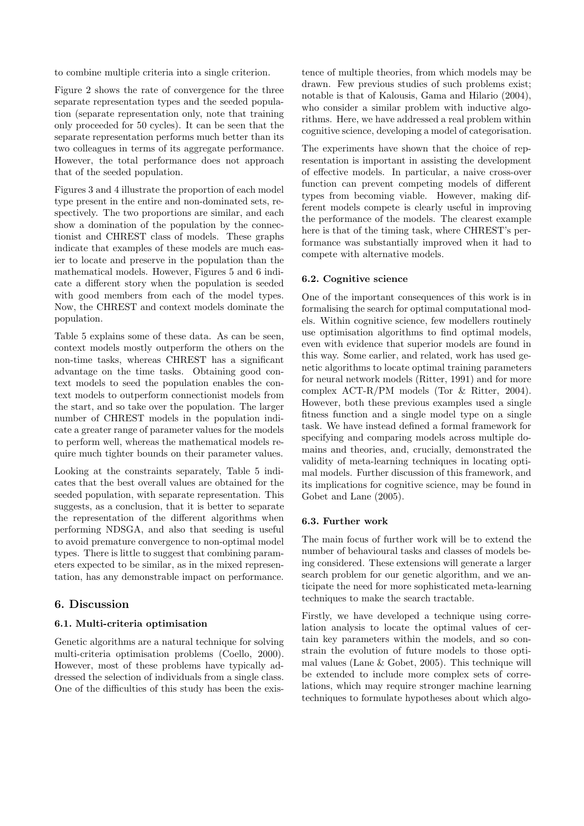to combine multiple criteria into a single criterion.

Figure 2 shows the rate of convergence for the three separate representation types and the seeded population (separate representation only, note that training only proceeded for 50 cycles). It can be seen that the separate representation performs much better than its two colleagues in terms of its aggregate performance. However, the total performance does not approach that of the seeded population.

Figures 3 and 4 illustrate the proportion of each model type present in the entire and non-dominated sets, respectively. The two proportions are similar, and each show a domination of the population by the connectionist and CHREST class of models. These graphs indicate that examples of these models are much easier to locate and preserve in the population than the mathematical models. However, Figures 5 and 6 indicate a different story when the population is seeded with good members from each of the model types. Now, the CHREST and context models dominate the population.

Table 5 explains some of these data. As can be seen, context models mostly outperform the others on the non-time tasks, whereas CHREST has a significant advantage on the time tasks. Obtaining good context models to seed the population enables the context models to outperform connectionist models from the start, and so take over the population. The larger number of CHREST models in the population indicate a greater range of parameter values for the models to perform well, whereas the mathematical models require much tighter bounds on their parameter values.

Looking at the constraints separately, Table 5 indicates that the best overall values are obtained for the seeded population, with separate representation. This suggests, as a conclusion, that it is better to separate the representation of the different algorithms when performing NDSGA, and also that seeding is useful to avoid premature convergence to non-optimal model types. There is little to suggest that combining parameters expected to be similar, as in the mixed representation, has any demonstrable impact on performance.

## 6. Discussion

#### 6.1. Multi-criteria optimisation

Genetic algorithms are a natural technique for solving multi-criteria optimisation problems (Coello, 2000). However, most of these problems have typically addressed the selection of individuals from a single class. One of the difficulties of this study has been the existence of multiple theories, from which models may be drawn. Few previous studies of such problems exist; notable is that of Kalousis, Gama and Hilario (2004), who consider a similar problem with inductive algorithms. Here, we have addressed a real problem within cognitive science, developing a model of categorisation.

The experiments have shown that the choice of representation is important in assisting the development of effective models. In particular, a naive cross-over function can prevent competing models of different types from becoming viable. However, making different models compete is clearly useful in improving the performance of the models. The clearest example here is that of the timing task, where CHREST's performance was substantially improved when it had to compete with alternative models.

## 6.2. Cognitive science

One of the important consequences of this work is in formalising the search for optimal computational models. Within cognitive science, few modellers routinely use optimisation algorithms to find optimal models, even with evidence that superior models are found in this way. Some earlier, and related, work has used genetic algorithms to locate optimal training parameters for neural network models (Ritter, 1991) and for more complex ACT-R/PM models (Tor & Ritter, 2004). However, both these previous examples used a single fitness function and a single model type on a single task. We have instead defined a formal framework for specifying and comparing models across multiple domains and theories, and, crucially, demonstrated the validity of meta-learning techniques in locating optimal models. Further discussion of this framework, and its implications for cognitive science, may be found in Gobet and Lane (2005).

#### 6.3. Further work

The main focus of further work will be to extend the number of behavioural tasks and classes of models being considered. These extensions will generate a larger search problem for our genetic algorithm, and we anticipate the need for more sophisticated meta-learning techniques to make the search tractable.

Firstly, we have developed a technique using correlation analysis to locate the optimal values of certain key parameters within the models, and so constrain the evolution of future models to those optimal values (Lane & Gobet, 2005). This technique will be extended to include more complex sets of correlations, which may require stronger machine learning techniques to formulate hypotheses about which algo